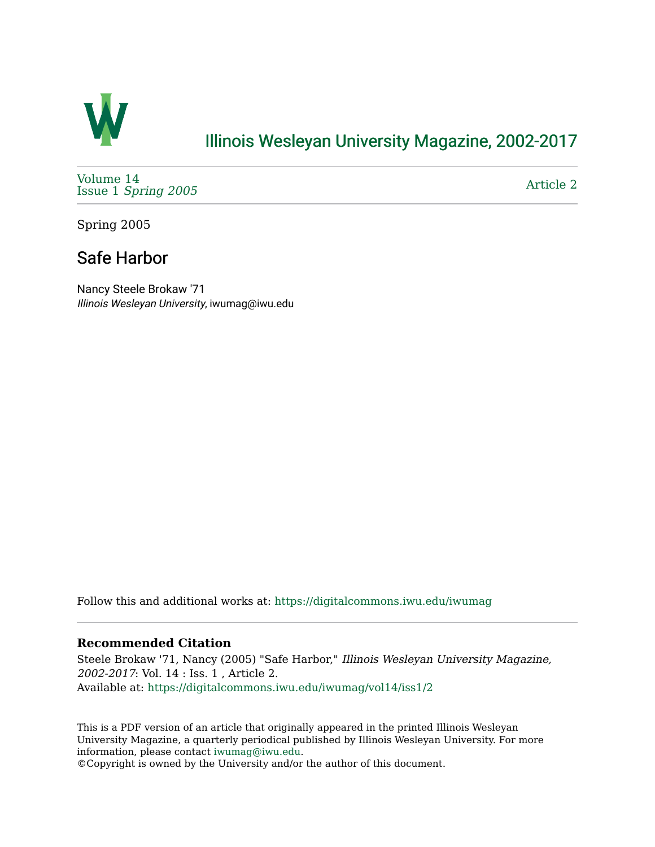

## [Illinois Wesleyan University Magazine, 2002-2017](https://digitalcommons.iwu.edu/iwumag)

[Volume 14](https://digitalcommons.iwu.edu/iwumag/vol14)  Issue 1 [Spring 2005](https://digitalcommons.iwu.edu/iwumag/vol14/iss1)

[Article 2](https://digitalcommons.iwu.edu/iwumag/vol14/iss1/2) 

Spring 2005

## Safe Harbor

Nancy Steele Brokaw '71 Illinois Wesleyan University, iwumag@iwu.edu

Follow this and additional works at: [https://digitalcommons.iwu.edu/iwumag](https://digitalcommons.iwu.edu/iwumag?utm_source=digitalcommons.iwu.edu%2Fiwumag%2Fvol14%2Fiss1%2F2&utm_medium=PDF&utm_campaign=PDFCoverPages) 

## **Recommended Citation**

Steele Brokaw '71, Nancy (2005) "Safe Harbor," Illinois Wesleyan University Magazine, 2002-2017: Vol. 14 : Iss. 1 , Article 2. Available at: [https://digitalcommons.iwu.edu/iwumag/vol14/iss1/2](https://digitalcommons.iwu.edu/iwumag/vol14/iss1/2?utm_source=digitalcommons.iwu.edu%2Fiwumag%2Fvol14%2Fiss1%2F2&utm_medium=PDF&utm_campaign=PDFCoverPages)

This is a PDF version of an article that originally appeared in the printed Illinois Wesleyan University Magazine, a quarterly periodical published by Illinois Wesleyan University. For more information, please contact [iwumag@iwu.edu](mailto:iwumag@iwu.edu).

©Copyright is owned by the University and/or the author of this document.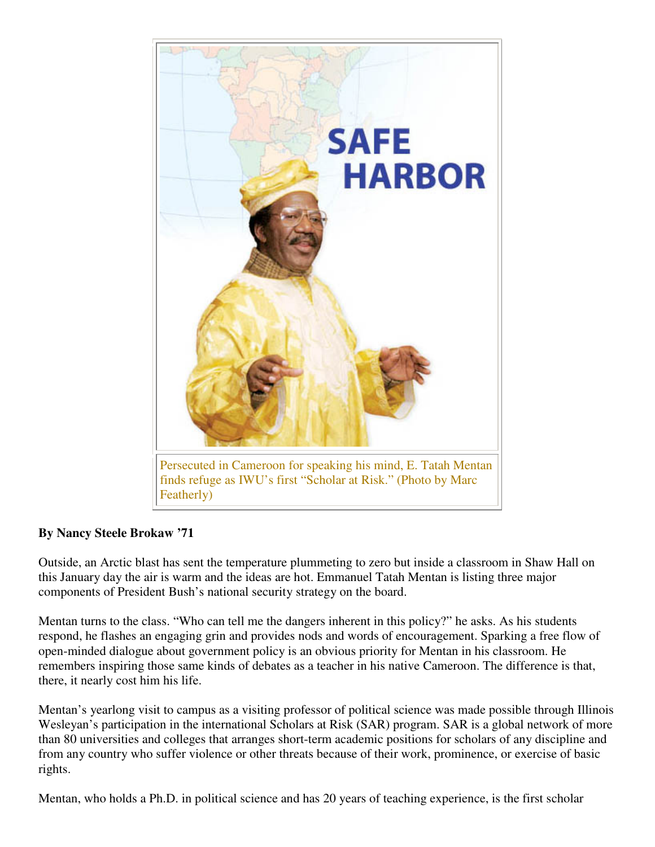

## **By Nancy Steele Brokaw '71**

Outside, an Arctic blast has sent the temperature plummeting to zero but inside a classroom in Shaw Hall on this January day the air is warm and the ideas are hot. Emmanuel Tatah Mentan is listing three major components of President Bush's national security strategy on the board.

Mentan turns to the class. "Who can tell me the dangers inherent in this policy?" he asks. As his students respond, he flashes an engaging grin and provides nods and words of encouragement. Sparking a free flow of open-minded dialogue about government policy is an obvious priority for Mentan in his classroom. He remembers inspiring those same kinds of debates as a teacher in his native Cameroon. The difference is that, there, it nearly cost him his life.

Mentan's yearlong visit to campus as a visiting professor of political science was made possible through Illinois Wesleyan's participation in the international Scholars at Risk (SAR) program. SAR is a global network of more than 80 universities and colleges that arranges short-term academic positions for scholars of any discipline and from any country who suffer violence or other threats because of their work, prominence, or exercise of basic rights.

Mentan, who holds a Ph.D. in political science and has 20 years of teaching experience, is the first scholar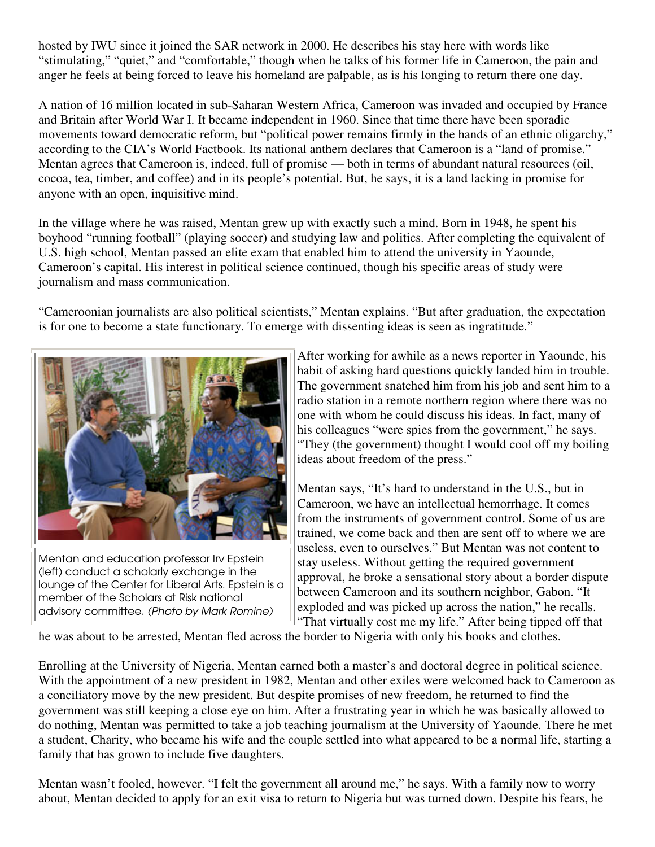hosted by IWU since it joined the SAR network in 2000. He describes his stay here with words like "stimulating," "quiet," and "comfortable," though when he talks of his former life in Cameroon, the pain and anger he feels at being forced to leave his homeland are palpable, as is his longing to return there one day.

A nation of 16 million located in sub-Saharan Western Africa, Cameroon was invaded and occupied by France and Britain after World War I. It became independent in 1960. Since that time there have been sporadic movements toward democratic reform, but "political power remains firmly in the hands of an ethnic oligarchy," according to the CIA's World Factbook. Its national anthem declares that Cameroon is a "land of promise." Mentan agrees that Cameroon is, indeed, full of promise — both in terms of abundant natural resources (oil, cocoa, tea, timber, and coffee) and in its people's potential. But, he says, it is a land lacking in promise for anyone with an open, inquisitive mind.

In the village where he was raised, Mentan grew up with exactly such a mind. Born in 1948, he spent his boyhood "running football" (playing soccer) and studying law and politics. After completing the equivalent of U.S. high school, Mentan passed an elite exam that enabled him to attend the university in Yaounde, Cameroon's capital. His interest in political science continued, though his specific areas of study were journalism and mass communication.

"Cameroonian journalists are also political scientists," Mentan explains. "But after graduation, the expectation is for one to become a state functionary. To emerge with dissenting ideas is seen as ingratitude."



Mentan and education professor Irv Epstein (left) conduct a scholarly exchange in the lounge of the Center for Liberal Arts. Epstein is a member of the Scholars at Risk national advisory committee. (Photo by Mark Romine)

After working for awhile as a news reporter in Yaounde, his habit of asking hard questions quickly landed him in trouble. The government snatched him from his job and sent him to a radio station in a remote northern region where there was no one with whom he could discuss his ideas. In fact, many of his colleagues "were spies from the government," he says. "They (the government) thought I would cool off my boiling ideas about freedom of the press."

Mentan says, "It's hard to understand in the U.S., but in Cameroon, we have an intellectual hemorrhage. It comes from the instruments of government control. Some of us are trained, we come back and then are sent off to where we are useless, even to ourselves." But Mentan was not content to stay useless. Without getting the required government approval, he broke a sensational story about a border dispute between Cameroon and its southern neighbor, Gabon. "It exploded and was picked up across the nation," he recalls. "That virtually cost me my life." After being tipped off that

he was about to be arrested, Mentan fled across the border to Nigeria with only his books and clothes.

Enrolling at the University of Nigeria, Mentan earned both a master's and doctoral degree in political science. With the appointment of a new president in 1982, Mentan and other exiles were welcomed back to Cameroon as a conciliatory move by the new president. But despite promises of new freedom, he returned to find the government was still keeping a close eye on him. After a frustrating year in which he was basically allowed to do nothing, Mentan was permitted to take a job teaching journalism at the University of Yaounde. There he met a student, Charity, who became his wife and the couple settled into what appeared to be a normal life, starting a family that has grown to include five daughters.

Mentan wasn't fooled, however. "I felt the government all around me," he says. With a family now to worry about, Mentan decided to apply for an exit visa to return to Nigeria but was turned down. Despite his fears, he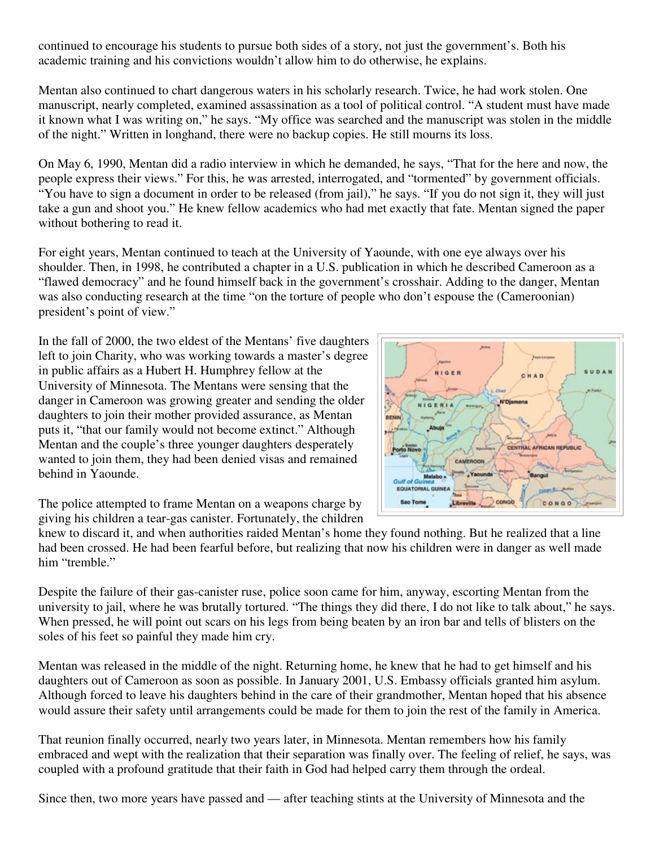continued to encourage his students to pursue both sides of a story, not just the government's. Both his academic training and his convictions wouldn't allow him to do otherwise, he explains.

Mentan also continued to chart dangerous waters in his scholarly research. Twice, he had work stolen. One manuscript, nearly completed, examined assassination as a tool of political control. "A student must have made it known what I was writing on," he says. "My office was searched and the manuscript was stolen in the middle of the night." Written in longhand, there were no backup copies. He still mourns its loss.

On May 6, 1990, Mentan did a radio interview in which he demanded, he says, "That for the here and now, the people express their views." For this, he was arrested, interrogated, and "tormented" by government officials. "You have to sign a document in order to be released (from jail)," he says. "If you do not sign it, they will just take a gun and shoot you." He knew fellow academics who had met exactly that fate. Mentan signed the paper without bothering to read it.

For eight years, Mentan continued to teach at the University of Yaounde, with one eye always over his shoulder. Then, in 1998, he contributed a chapter in a U.S. publication in which he described Cameroon as a "flawed democracy" and he found himself back in the government's crosshair. Adding to the danger, Mentan was also conducting research at the time "on the torture of people who don't espouse the (Cameroonian) president's point of view."

In the fall of 2000, the two eldest of the Mentans' five daughters left to join Charity, who was working towards a master's degree in public affairs as a Hubert H. Humphrey fellow at the University of Minnesota. The Mentans were sensing that the danger in Cameroon was growing greater and sending the older daughters to join their mother provided assurance, as Mentan puts it, "that our family would not become extinct." Although Mentan and the couple's three younger daughters desperately wanted to join them, they had been denied visas and remained behind in Yaounde.



The police attempted to frame Mentan on a weapons charge by giving his children a tear-gas canister. Fortunately, the children

knew to discard it, and when authorities raided Mentan's home they found nothing. But he realized that a line had been crossed. He had been fearful before, but realizing that now his children were in danger as well made him "tremble."

Despite the failure of their gas-canister ruse, police soon came for him, anyway, escorting Mentan from the university to jail, where he was brutally tortured. "The things they did there, I do not like to talk about," he says. When pressed, he will point out scars on his legs from being beaten by an iron bar and tells of blisters on the soles of his feet so painful they made him cry.

Mentan was released in the middle of the night. Returning home, he knew that he had to get himself and his daughters out of Cameroon as soon as possible. In January 2001, U.S. Embassy officials granted him asylum. Although forced to leave his daughters behind in the care of their grandmother, Mentan hoped that his absence would assure their safety until arrangements could be made for them to join the rest of the family in America.

That reunion finally occurred, nearly two years later, in Minnesota. Mentan remembers how his family embraced and wept with the realization that their separation was finally over. The feeling of relief, he says, was coupled with a profound gratitude that their faith in God had helped carry them through the ordeal.

Since then, two more years have passed and — after teaching stints at the University of Minnesota and the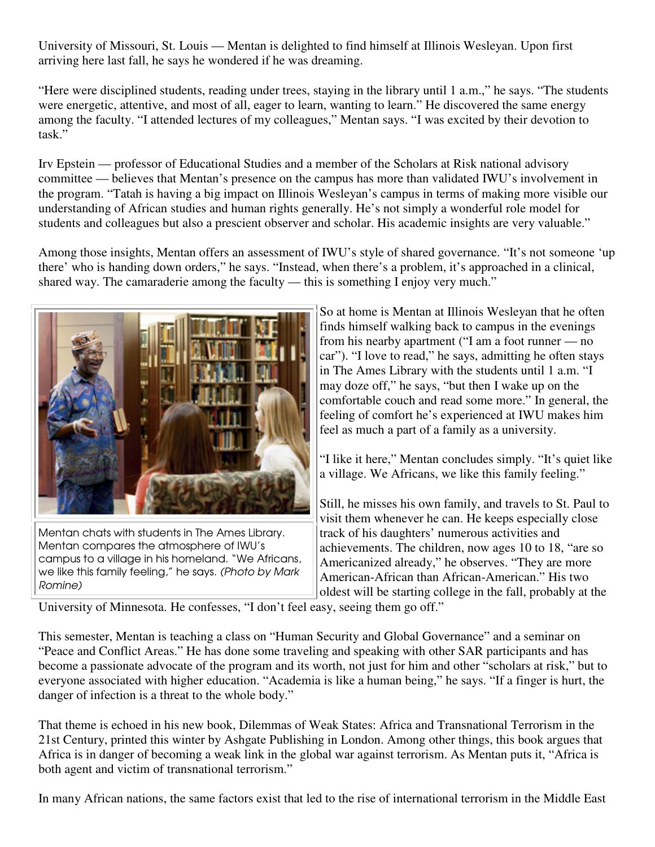University of Missouri, St. Louis — Mentan is delighted to find himself at Illinois Wesleyan. Upon first arriving here last fall, he says he wondered if he was dreaming.

"Here were disciplined students, reading under trees, staying in the library until 1 a.m.," he says. "The students were energetic, attentive, and most of all, eager to learn, wanting to learn." He discovered the same energy among the faculty. "I attended lectures of my colleagues," Mentan says. "I was excited by their devotion to task."

Irv Epstein — professor of Educational Studies and a member of the Scholars at Risk national advisory committee — believes that Mentan's presence on the campus has more than validated IWU's involvement in the program. "Tatah is having a big impact on Illinois Wesleyan's campus in terms of making more visible our understanding of African studies and human rights generally. He's not simply a wonderful role model for students and colleagues but also a prescient observer and scholar. His academic insights are very valuable."

Among those insights, Mentan offers an assessment of IWU's style of shared governance. "It's not someone 'up there' who is handing down orders," he says. "Instead, when there's a problem, it's approached in a clinical, shared way. The camaraderie among the faculty — this is something I enjoy very much."



Mentan chats with students in The Ames Library. Mentan compares the atmosphere of IWU's campus to a village in his homeland. "We Africans, we like this family feeling," he says. (Photo by Mark Romine)

So at home is Mentan at Illinois Wesleyan that he often finds himself walking back to campus in the evenings from his nearby apartment ("I am a foot runner — no car"). "I love to read," he says, admitting he often stays in The Ames Library with the students until 1 a.m. "I may doze off," he says, "but then I wake up on the comfortable couch and read some more." In general, the feeling of comfort he's experienced at IWU makes him feel as much a part of a family as a university.

"I like it here," Mentan concludes simply. "It's quiet like a village. We Africans, we like this family feeling."

Still, he misses his own family, and travels to St. Paul to visit them whenever he can. He keeps especially close track of his daughters' numerous activities and achievements. The children, now ages 10 to 18, "are so Americanized already," he observes. "They are more American-African than African-American." His two oldest will be starting college in the fall, probably at the

University of Minnesota. He confesses, "I don't feel easy, seeing them go off."

This semester, Mentan is teaching a class on "Human Security and Global Governance" and a seminar on "Peace and Conflict Areas." He has done some traveling and speaking with other SAR participants and has become a passionate advocate of the program and its worth, not just for him and other "scholars at risk," but to everyone associated with higher education. "Academia is like a human being," he says. "If a finger is hurt, the danger of infection is a threat to the whole body."

That theme is echoed in his new book, Dilemmas of Weak States: Africa and Transnational Terrorism in the 21st Century, printed this winter by Ashgate Publishing in London. Among other things, this book argues that Africa is in danger of becoming a weak link in the global war against terrorism. As Mentan puts it, "Africa is both agent and victim of transnational terrorism."

In many African nations, the same factors exist that led to the rise of international terrorism in the Middle East